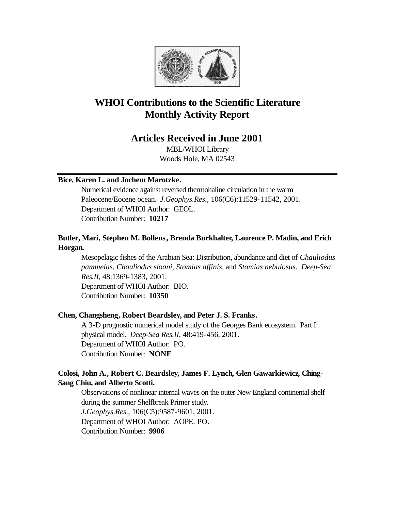

# **WHOI Contributions to the Scientific Literature Monthly Activity Report**

# **Articles Received in June 2001**

MBL/WHOI Library Woods Hole, MA 02543

#### **Bice, Karen L. and Jochem Marotzke.**

Numerical evidence against reversed thermohaline circulation in the warm Paleocene/Eocene ocean. *J.Geophys.Res.*, 106(C6):11529-11542, 2001. Department of WHOI Author: GEOL. Contribution Number: **10217**

## **Butler, Mari, Stephen M. Bollens, Brenda Burkhalter, Laurence P. Madin, and Erich Horgan.**

Mesopelagic fishes of the Arabian Sea: Distribution, abundance and diet of *Chauliodus pammelas*, *Chauliodus sloani*, *Stomias affinis*, and *Stomias nebulosus*. *Deep-Sea Res.II*, 48:1369-1383, 2001. Department of WHOI Author: BIO. Contribution Number: **10350**

## **Chen, Changsheng, Robert Beardsley, and Peter J. S. Franks.**

A 3-D prognostic numerical model study of the Georges Bank ecosystem. Part I: physical model. *Deep-Sea Res.II*, 48:419-456, 2001. Department of WHOI Author: PO. Contribution Number: **NONE**

## **Colosi, John A., Robert C. Beardsley, James F. Lynch, Glen Gawarkiewicz, Ching-Sang Chiu, and Alberto Scotti.**

Observations of nonlinear internal waves on the outer New England continental shelf during the summer Shelfbreak Primer study. *J.Geophys.Res.*, 106(C5):9587-9601, 2001. Department of WHOI Author: AOPE. PO. Contribution Number: **9906**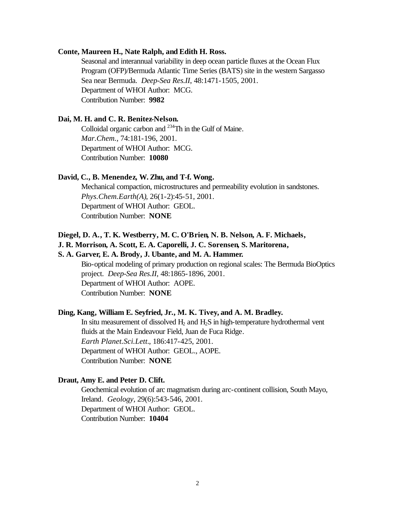#### **Conte, Maureen H., Nate Ralph, and Edith H. Ross.**

Seasonal and interannual variability in deep ocean particle fluxes at the Ocean Flux Program (OFP)/Bermuda Atlantic Time Series (BATS) site in the western Sargasso Sea near Bermuda. *Deep-Sea Res.II*, 48:1471-1505, 2001. Department of WHOI Author: MCG. Contribution Number: **9982**

#### **Dai, M. H. and C. R. Benitez-Nelson.**

Colloidal organic carbon and <sup>234</sup>Th in the Gulf of Maine. *Mar.Chem.*, 74:181-196, 2001. Department of WHOI Author: MCG. Contribution Number: **10080**

#### **David, C., B. Menendez, W. Zhu, and T-f. Wong.**

Mechanical compaction, microstructures and permeability evolution in sandstones. *Phys.Chem.Earth(A)*, 26(1-2):45-51, 2001. Department of WHOI Author: GEOL. Contribution Number: **NONE**

#### **Diegel, D. A., T. K. Westberry, M. C. O'Brien, N. B. Nelson, A. F. Michaels,**

## **J. R. Morrison, A. Scott, E. A. Caporelli, J. C. Sorensen, S. Maritorena,**

#### **S. A. Garver, E. A. Brody, J. Ubante, and M. A. Hammer.**

Bio-optical modeling of primary production on regional scales: The Bermuda BioOptics project. *Deep-Sea Res.II*, 48:1865-1896, 2001. Department of WHOI Author: AOPE. Contribution Number: **NONE**

## **Ding, Kang, William E. Seyfried, Jr., M. K. Tivey, and A. M. Bradley.**

In situ measurement of dissolved  $H_2$  and  $H_2S$  in high-temperature hydrothermal vent fluids at the Main Endeavour Field, Juan de Fuca Ridge. *Earth Planet.Sci.Lett.*, 186:417-425, 2001. Department of WHOI Author: GEOL., AOPE. Contribution Number: **NONE**

#### **Draut, Amy E. and Peter D. Clift.**

Geochemical evolution of arc magmatism during arc-continent collision, South Mayo, Ireland. *Geology*, 29(6):543-546, 2001. Department of WHOI Author: GEOL. Contribution Number: **10404**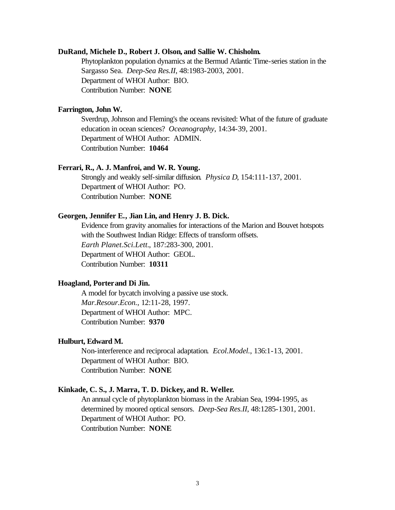#### **DuRand, Michele D., Robert J. Olson, and Sallie W. Chisholm.**

Phytoplankton population dynamics at the Bermud Atlantic Time-series station in the Sargasso Sea. *Deep-Sea Res.II*, 48:1983-2003, 2001. Department of WHOI Author: BIO. Contribution Number: **NONE**

#### **Farrington, John W.**

Sverdrup, Johnson and Fleming's the oceans revisited: What of the future of graduate education in ocean sciences? *Oceanography*, 14:34-39, 2001. Department of WHOI Author: ADMIN. Contribution Number: **10464**

#### **Ferrari, R., A. J. Manfroi, and W. R. Young.**

Strongly and weakly self-similar diffusion. *Physica D*, 154:111-137, 2001. Department of WHOI Author: PO. Contribution Number: **NONE**

#### **Georgen, Jennifer E., Jian Lin, and Henry J. B. Dick.**

Evidence from gravity anomalies for interactions of the Marion and Bouvet hotspots with the Southwest Indian Ridge: Effects of transform offsets. *Earth Planet.Sci.Lett.*, 187:283-300, 2001. Department of WHOI Author: GEOL. Contribution Number: **10311**

#### **Hoagland, Porter and Di Jin.**

A model for bycatch involving a passive use stock. *Mar.Resour.Econ.*, 12:11-28, 1997. Department of WHOI Author: MPC. Contribution Number: **9370**

#### **Hulburt, Edward M.**

Non-interference and reciprocal adaptation. *Ecol.Model.*, 136:1-13, 2001. Department of WHOI Author: BIO. Contribution Number: **NONE**

#### **Kinkade, C. S., J. Marra, T. D. Dickey, and R. Weller.**

An annual cycle of phytoplankton biomass in the Arabian Sea, 1994-1995, as determined by moored optical sensors. *Deep-Sea Res.II*, 48:1285-1301, 2001. Department of WHOI Author: PO. Contribution Number: **NONE**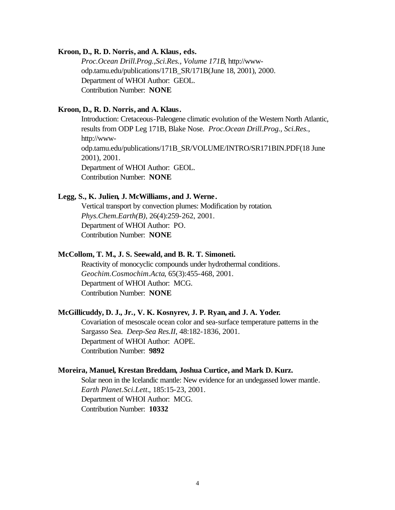#### **Kroon, D., R. D. Norris, and A. Klaus, eds.**

*Proc.Ocean Drill.Prog.,Sci.Res., Volume 171B*, http://wwwodp.tamu.edu/publications/171B\_SR/171B(June 18, 2001), 2000. Department of WHOI Author: GEOL. Contribution Number: **NONE**

#### **Kroon, D., R. D. Norris, and A. Klaus.**

Introduction: Cretaceous-Paleogene climatic evolution of the Western North Atlantic, results from ODP Leg 171B, Blake Nose. *Proc.Ocean Drill.Prog., Sci.Res.*, http://wwwodp.tamu.edu/publications/171B\_SR/VOLUME/INTRO/SR171BIN.PDF(18 June 2001), 2001. Department of WHOI Author: GEOL. Contribution Number: **NONE**

#### **Legg, S., K. Julien, J. McWilliams, and J. Werne.**

Vertical transport by convection plumes: Modification by rotation. *Phys.Chem.Earth(B)*, 26(4):259-262, 2001. Department of WHOI Author: PO. Contribution Number: **NONE**

## **McCollom, T. M., J. S. Seewald, and B. R. T. Simoneti.**

Reactivity of monocyclic compounds under hydrothermal conditions. *Geochim.Cosmochim.Acta*, 65(3):455-468, 2001. Department of WHOI Author: MCG. Contribution Number: **NONE**

#### **McGillicuddy, D. J., Jr., V. K. Kosnyrev, J. P. Ryan, and J. A. Yoder.**

Covariation of mesoscale ocean color and sea-surface temperature patterns in the Sargasso Sea. *Deep-Sea Res.II*, 48:182-1836, 2001. Department of WHOI Author: AOPE. Contribution Number: **9892**

#### **Moreira, Manuel, Krestan Breddam, Joshua Curtice, and Mark D. Kurz.**

Solar neon in the Icelandic mantle: New evidence for an undegassed lower mantle. *Earth Planet.Sci.Lett.*, 185:15-23, 2001. Department of WHOI Author: MCG. Contribution Number: **10332**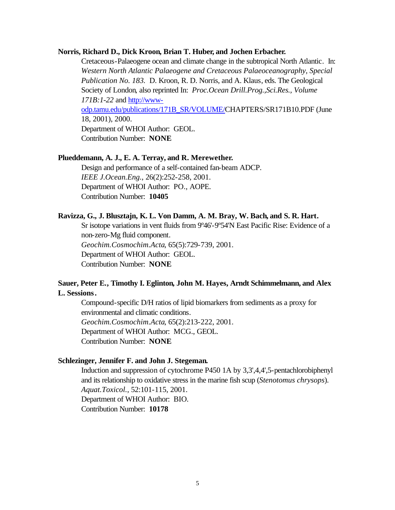#### **Norris, Richard D., Dick Kroon, Brian T. Huber, and Jochen Erbacher.**

Cretaceous-Palaeogene ocean and climate change in the subtropical North Atlantic. In: *Western North Atlantic Palaeogene and Cretaceous Palaeoceanography, Special Publication No. 183.* D. Kroon, R. D. Norris, and A. Klaus, eds. The Geological Society of London, also reprinted In: *Proc.Ocean Drill.Prog.,Sci.Res., Volume 171B:1-22* and http://wwwodp.tamu.edu/publications/171B\_SR/VOLUME/CHAPTERS/SR171B10.PDF (June 18, 2001), 2000. Department of WHOI Author: GEOL.

Contribution Number: **NONE**

#### **Plueddemann, A. J., E. A. Terray, and R. Merewether.**

Design and performance of a self-contained fan-beam ADCP. *IEEE J.Ocean.Eng.*, 26(2):252-258, 2001. Department of WHOI Author: PO., AOPE. Contribution Number: **10405**

#### **Ravizza, G., J. Blusztajn, K. L. Von Damm, A. M. Bray, W. Bach, and S. R. Hart.**

Sr isotope variations in vent fluids from 9º46'-9º54'N East Pacific Rise: Evidence of a non-zero-Mg fluid component. *Geochim.Cosmochim.Acta*, 65(5):729-739, 2001. Department of WHOI Author: GEOL. Contribution Number: **NONE**

## **Sauer, Peter E., Timothy I. Eglinton, John M. Hayes, Arndt Schimmelmann, and Alex L. Sessions.**

Compound-specific D/H ratios of lipid biomarkers from sediments as a proxy for environmental and climatic conditions. *Geochim.Cosmochim.Acta*, 65(2):213-222, 2001. Department of WHOI Author: MCG., GEOL. Contribution Number: **NONE**

#### **Schlezinger, Jennifer F. and John J. Stegeman.**

Induction and suppression of cytochrome P450 1A by 3,3',4,4',5-pentachlorobiphenyl and its relationship to oxidative stress in the marine fish scup (*Stenotomus chrysops*). *Aquat.Toxicol.*, 52:101-115, 2001. Department of WHOI Author: BIO. Contribution Number: **10178**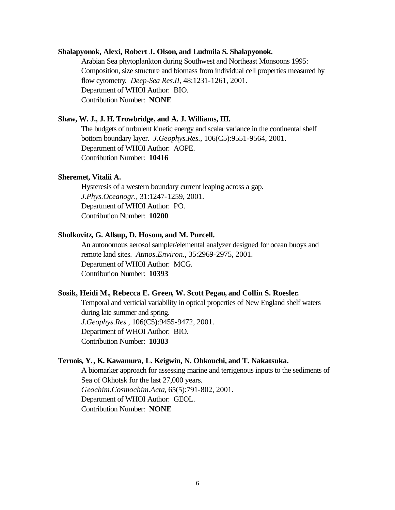#### **Shalapyonok, Alexi, Robert J. Olson, and Ludmila S. Shalapyonok.**

Arabian Sea phytoplankton during Southwest and Northeast Monsoons 1995: Composition, size structure and biomass from individual cell properties measured by flow cytometry. *Deep-Sea Res.II*, 48:1231-1261, 2001. Department of WHOI Author: BIO. Contribution Number: **NONE**

#### **Shaw, W. J., J. H. Trowbridge, and A. J. Williams, III.**

The budgets of turbulent kinetic energy and scalar variance in the continental shelf bottom boundary layer. *J.Geophys.Res.*, 106(C5):9551-9564, 2001. Department of WHOI Author: AOPE. Contribution Number: **10416**

#### **Sheremet, Vitalii A.**

Hysteresis of a western boundary current leaping across a gap. *J.Phys.Oceanogr.*, 31:1247-1259, 2001. Department of WHOI Author: PO. Contribution Number: **10200**

#### **Sholkovitz, G. Allsup, D. Hosom, and M. Purcell.**

An autonomous aerosol sampler/elemental analyzer designed for ocean buoys and remote land sites. *Atmos.Environ.*, 35:2969-2975, 2001. Department of WHOI Author: MCG. Contribution Number: **10393**

#### **Sosik, Heidi M., Rebecca E. Green, W. Scott Pegau, and Collin S. Roesler.**

Temporal and verticial variability in optical properties of New England shelf waters during late summer and spring. *J.Geophys.Res.*, 106(C5):9455-9472, 2001. Department of WHOI Author: BIO. Contribution Number: **10383**

#### **Ternois, Y., K. Kawamura, L. Keigwin, N. Ohkouchi, and T. Nakatsuka.**

A biomarker approach for assessing marine and terrigenous inputs to the sediments of Sea of Okhotsk for the last 27,000 years. *Geochim.Cosmochim.Acta*, 65(5):791-802, 2001. Department of WHOI Author: GEOL. Contribution Number: **NONE**